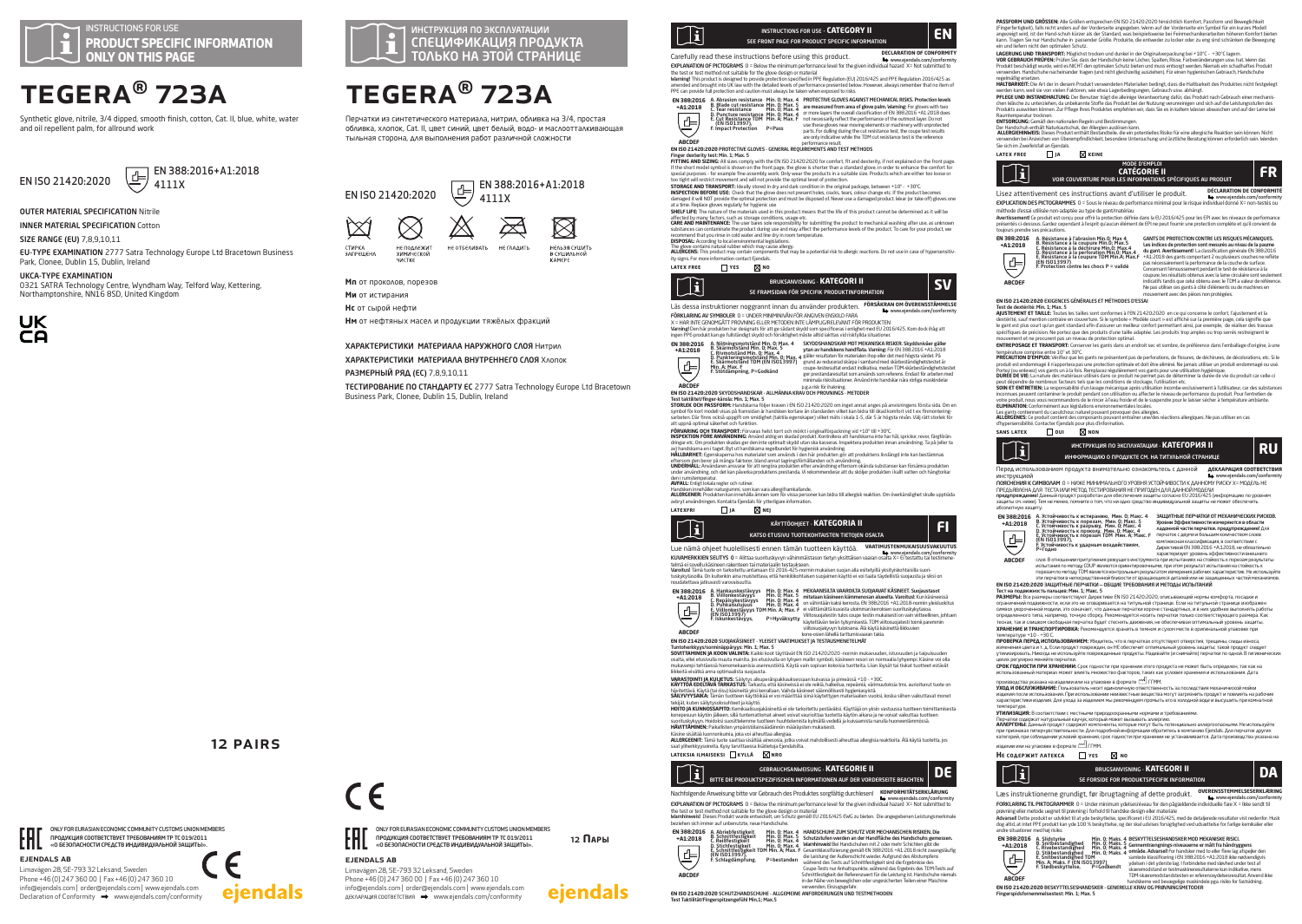# TEGERA® 723A

Synthetic glove, nitrile, 3/4 dipped, smooth finish, cotton, Cat. II, blue, white, water and oil repellent palm, for allround work



# 4111X

OUTER MATERIAL SPECIFICATION Nitrile

INNER MATERIAL SPECIFICATION Cotton

**SIZE RANGE (FU) 7891011** 

EU-TYPE EXAMINATION 2777 Satra Technology Europe Ltd Bracetown Business Park, Clonee, Dublin 15, Dublin, Ireland

UKCA-TYPE EXAMINATION

0321 SATRA Technology Centre, Wyndham Way, Telford Way, Kettering, Northamptonshire, NN16 8SD, United Kingdom



ejendals ab

EML.

Limavägen 28, SE-793 32 Leksand, Sweden Phone +46 (0) 247 360 00 | Fax +46 (0) 247 360 10 info@ejendals.com | order@ejendals.com | www.ejendals.com Declaration of Conformity  $\rightarrow$  www.ejendals.com/conformity

ONLY FOR EURASIAN ECONOMIC COMMUNITY CUSTOMS UNION MEMBERS ПРОДУКЦИЯ СООТВЕТСТВУЕТ ТРЕБОВАНИЯМ ТР ТС 019/2011 «О БЕЗОПАСНОСТИ СРЕДСТВ ИНДИВИДУАЛЬНОЙ ЗАЩИТЫ».

12 Pairs

ejendals

# $\boxed{1}$  EN 388:2016+A1:2018

 EN 388:2016+A1:2018 EN ISO 21420:2020 4111X j ⋉  $\cancel{\simeq}$  $\boxtimes$ HE OTBEAMBATH HE CAAAMTH HEAL39 CYLINTE СТИРКА НЕ ПОЛЛЕЖИТ STRITISM<br>BANPEILIEHA **XMMMHELKU** R CYLLIMANHOÙ

TEGERA® 723A

Перчатки из синтетического материала, нитрил, обливка на 3/4, простая обливка, хлопок, Cat. II, цвет синий, цвет белый, водо- и маслоотталкивающая тыльная сторона, для выполнения работ различной сложности



**Ми** от истирания

ejendals ab

Limavägen 28, SE-793 32 Leksand, Sweden Phone +46 (0) 247 360 00 | Fax +46 (0) 247 360 10 info@ejendals.com | order@ejendals.com | www.ejendals.com ДЕКЛАРАЦИЯ СООТВЕТСТВИЯ www.ejendals.com/conformity

ONLY FOR EURASIAN ECONOMIC COMMUNITY CUSTOMS UNION MEMBERS ПРОДУКЦИЯ СООТВЕТСТВУЕТ ТРЕБОВАНИЯМ ТР ТС 019/2011 **В ГОДИ ПРОДУКЦИЯ СООТВЕТСТВУЕТ ТРЕБОВАНИЯМ ТР ТС 019/2011**<br>КОТОРО БЕЗОПАСНОСТИ СРЕДСТВ ИНДИВИДУАЛЬНОЙ ЗАЩИТЫ».

12 **Пары**

ejendals

**Нс** от сырой нефти

ARIERITI<br>HIACTIVC

**Нм** от нефтяных масел и продукции тяжёлых фракций

### ХАРАКТЕРИСТИКИ МАТЕРИАЛА НАРУЖНОГО СЛОЯ Нитрил

ХАРАКТЕРИСТИКИ МАТЕРИАЛА ВНУТРЕННЕГО СЛОЯ Хлопок

РАЗМЕРНЫЙ РЯД (EC) 7,8,9,10,11 ТЕСТИРОВАНИЕ ПО СТАНДАРТУ ЕС 2777 Satra Technology Europe Ltd Bracetown Business Park, Clonee, Dublin 15, Dublin, Ireland

KAMEPE

инструкция по эксплуатации<br>СПЕЦИФИКАЦИЯ ПРОДУКТА ТОЛЬКО НА ЭТОЙ СТРАНИЦЕ



Carefully read these instructions before using this product. **DECLARATION OF CONFORMITY EXPLANATION OF PICTOGRAMS.**  $0 =$  Below the minimum performance level for the given individual bazard,  $X =$  Not submitted to

EXAMANTION OF PK LODGRAPS O I - Below the minimum performance level for the given individual bazard X - Not submitted to<br>The test or test method not suitable for the glove design or material<br>warmed and bought into UK four

A Abrasion resistance Min. 0: Has A PROTECTIVE GIORN FACTORIZED TO THE CHARGE CHARGE CHARGE CHARGE CHARGE CHARGE CHARGE CHARGE CHARGE CHARGE CHARGE CHARGE CHARGE CHARGE CHARGE CHARGE CHARGE CHARGE CHARGE CHARGE CHARGE CHAR

are only indicative while the TDM cut resistance test is the reference

## performance result. **EN ISO 21420:2020** PROTECTIVE GLOVES - GENERAL REQUIREMENTS AND TEST METHODS

**EN 388:2016 +A1:2018**

専

**ABCDEF**

Finger dexterity test: Min. 1; Max. 5<br>FITTING AND SIZING: All sizes comply FITTING AND SIZING: All sizes comply with the EN ISO 21420:2020 for comfort, fit and dexterity, if not explained on the front page.<br>If the short model symbol is shown on the front page, the glove is shorter than a standard

precise that the example the assembly work. Only was the exposure and antible study. Products are the conservative and the system of the system of the system of the system of the system of the system of the system of the

recommend hat you rinse in cold water and line dry in room temperature.<br>**DISPOSAL**: According to bcal environmental legislations:<br>**ALLERGOES**, This product may contain components that may be a potential risk to allergic re **latex free yes no**



Läs dessa instruktioner noggrannt innan du använder produkten. **FORSAKRAN OM OVERENSSTAMMELSE** 

FORKLARING AV SYMBOLER 0 = UNDER MINMINIVAN FOR ANGUEN ENSKULD FARA<br>X = HAR INTE GENOMGÅTT PROVINING ELLER METODEN INTE LÄMPLIG/RELEVANT FÖR PRODUKTEN<br>Varing IDen här produkten har designats för att ge sådant skydd som spe

A. Nötningsmotstånd Min. 0; Max. 4<br>B. Skärmotstånd Min. 0; Max. 5<br>C. Rivmotstånd Min. 0; Max. 4<br>D. Punkteringsmotstånd Min. 0; Max. 4<br>E. Skärmotstånd TDM (EN ISO13997)<br>Min. A; Max. F **EN 388:2016 +A1:2018**

SKYDDSHANDSKAR MOT MEKANISKA RISKER. Skyddsmivåer gäller<br>Stan av handskens handflata. Varning: För EN 388:2016 +A1:2018<br>gäller resultaten för materialen ihop eller det med högsta vårdet. På<br>grund av reducerad skärpa i samb ger prestandaresultat som används som referens. Endast för arbeten med minimala risksituationer. Använd inte handskar nära rörliga maskindelar p.g.a risk för ihakning.

### **EN ISO 21420:2020** SKYDDSHANDSKAR - ALLMÄNNA KRAV OCH PROVNINGS - METODER

E. Skarniutstand for ferredee<br>Min. A; Max. F<br>E Stötdämnning, P=Godkänd

Test taktilitet/finger-känsla: Min. 1; Max. 5 **STORLEK OCH PASSFORM:** Handskarna följer kraven i EN ISO 21420:2020 om inget annat anges på anvisningens första sida. Om en symbol för kort modell visas på framsidan är handsken kortare än standarden vilket kan bidra till ökad komfort vid t ex finmonteringsmidi för Karrmoden visas på namisidan af handsken korde än standaden vilket kan oldra un okad kommer vid t ex<br>arbeten. Där finns också uppgift om smidighet (taktila egenskaper) vilket mäts i skala 1-5, där 5 är högsta niv

att uppnå opimal sikerhet och funktion.<br>**Kommer och funktion för annat s**iker för annat siker för annat sig institutionskriving vid +10° ull +3°Cr. Nu spridas; mors dag föder<br>dringer et: Om produkten sidata ger den inte op

#### under användning, och det kan påverka produktens prestanda. Vi rekommenderar att du sköljer produkten i kallt vatten och hängtorkar

AVFALL: Enligt lokala regler och rutiner

**EN 388:2016 +A1:2018**

**ABCDEF**

 $\overline{\oplus}$ 

**AVFALL:** Enligt lokala regler och rutiner.<br>Handsken innehåller naturgumni, som kan vara allergiframkallande.<br>**ALLERGENER:** Produkten kan innehålla ämnen som för vissa personer kan bidra till allergisk reaktion. Om överkän

#### avbryt användningen. Kontakta Ejendals för ytterligare inform<br>LATEXERI ILA **latexfri ja nej**



www.ejendals.com/conformity.com/conformity/intervals.com/conformity.com/conformity/intervals.com/conformity/in<br>KUVAMERKKIEN SELITYS 0 = Alittaa suorituskyvyn vähimmäistason tietyn yksittäisen vaaran osalta X= Ei testattu telmä ei sovellu käsineen rakenteen tai materiaalin testaukseen.<br>Varoftusl Tämä tuote on tarkoitettu antamaan EU 2015–425-normin mukaisen suojan alla esitetyillä yksityiskohtaisilla suori-<br>tuskykytasoilla. On kuitenkin ain





# **ABCDEF EN ISO 21420:2020** SUOJAKÄSINEET - YLEISET VAATIMUKSET JA TESTAUSMENETELMÄT

Tumbeekkyyskomminapaanpys Min. I. Max. 5<br>SOVITTAMINEN JA KOON VALINTA: Kaikki toot täyttävät EN ISO 21420.2020 -nomin mukavuoden, istuvuoden ja taipuisuoden<br>mukavampi tehtilestä hieromeksamisia seensudia on kytyen mallin s

**VARASTOINTI JA KUUETUS:** Säihytys alkuperäispakkauksessaan kuivassa ja pimeässä +10 - +30C<br>**KÄYTTÖÄ EDELTÄVÄ TARKASTUS:** Tarkasta, että käsineissä ei ole reikiä, haikellua, repeämä, värimuutoksia triss aurioitunut tuote o

tekijät, kuten säilytysolosuhteet ja käyttö.<br>**HOTTO JA KUNNOSSAPITO:** Kemikaalisuojakäsineitä ei ole tarkoitettu pestäväksi. Käyttäjä on yksin vastuussa tuotteen toimittamisesta<br>konepesuun käytön jälkeen, sillä tuntemattom

suorituskykyyn. Hoidoksi suosittelemme tuotteen huuhtelemista kylmällä vedellä ja kuivaamista narulla huoneenlämmössä<br>**HÄVITTÄMINEN:** Paikallisten ympäristölainsäädännön määräysten mukaisesti.

Käsine sisältää luonnonkumia, joka voi aiheuttaa allergiaa.<br>**ALLERGEENIT:** Tämä tuote saattaa sisältää ainesosia, jotka voivat mahdollisesti aiheuttaa allergisia reaktioita. Älä käytä tuotetta, jos<br>s**aat viiherkkyysoireita** 

### **lateksia ilmaiseksi kyllä nro**



Nachfolgende Anweisung bitte vor Gebrauch des Produktes sorgfältig durchlesen! **KONFORMITÄTSERKLÄRUNG** www.ejendals.com/conformity EXPLANATION OF PICTOGRAMS 0 = Below the minimum performance level for the given individual hazard X= Not submitted to

the test or test method not suitable for the glove design or material Warnhinweis! Dieses Produkt wurde entwickelt, um Schutz gemäß EU 2016/425 EWG zu bieten. Die angegebenen Leistungsmerkmale beziehen sich immer auf unbenutzte, neue Handschule<br>
(\* 1988-2016 – Abriederstigkeit – Min. 0: Max. 4<br>
1988-2016 – B. Schnittfestigkeit – Min. 0: Max. 4<br>
– Christian – Min. 0: Max. 4<br>
– Christian – Min. 0: Max. 4<br>
– Christ **EN 388:2016 +A1:2018**



HANDSCHUHE ZUM SCHUTZ VOR MECHANISCHEN RISIKEN. Die<br>Schutzstufen werden an der Handfläche des Handschuhs gemessen.<br>Warmhinweis Bei Handschuhen mit 2 oder mehr Schichten gibt die<br>Gesamtklassifizierung gemäß EN 388:2016 +A1:



verwenden, Einzugsgefahr. **EN ISO 21420:2020** SCHUTZHANDSCHUHE - ALLGEMEINE ANFORDERUNGEN UND TESTMETHODEN

**PASSFORM UNIO GROSSEN:** Alle icroiden entsprechen EN ISO 214/20:2010 histoftülch Konntert, Passtorm und Beweglichieri<br>(Fingerfertligeit), falls nicht anders auf der Vorderseite angegeben. Nenn auf der Vorderseite ein Symb ein und liefern nicht den optimalen Schutz.

LAGERUNG UND TRANSPORT: Moglichst trocken und dunkel in der Originalverpackung bei +10°C - +30°C lagern.<br>VOR GEBRAUCH PRÜFEN: Prüfen Sie, dass der Handschuh keine Löcher, Spalten, Risse, Farbveränderungen usw. hat. Wenn da Produkt beschädigt wurde, wird es NICHT den optimalen Schutz bieten und muss entsorgt werden. Niemals ein schadhaftes Produkt<br>verwenden. Handschuhe nacheinander tragen (und nicht gleichzeitig ausziehen). Für einen hygienis

regelmäßig ersetzen. **HALTBARKEIT:** Die Art der in diesem Produkt verwendeten Materialien bedingt, dass die Haltbarkeit des Produktes nicht festgelegt

werden kann, weil sie von vielen Faktoren, wie etwa Lagerbedingungen, Gebrauch usw. abhängt. **PFLEGE UND INSTANDHALTUNG:** Der Benutzer trägt die alleinige Verantwortung dafür, das Produkt nach Gebrauch einer mechanischen Wäsche zu unterziehen, da unbekannte Stoffe das Produkt bei der Nutzung verunreinigen und sich auf die Leistungsstufen des<br>Produkts auswirken können. Zur Pflege Ihres Produktes empfehlen wir, dass Sie es in kaltem Was Produkts auswirken konnen. zur Priege innes Produktes empremer<br>**Raumtemperatur trocknen.**<br>FAT CADCI INC: (Jomäß den nationalen Repeln und Bestimmungen

**ENTSORGUNG:** Gemäß den nationalen Regeln und Bestimmungen.<br>Der Handschuh enthält Naturkautschuk, der Allergien auslösen kann.<br>**ALLERGIEHINWEIS:** Dieses Produkt enthält Bestandteile, die ein potentielles Risiko für eine al verwenden bei Anzeichen von Überempfindlichkeit, besondere Untersuchung und ärztliche Beratung können erforderlich sein. Wenden Sie sich im Zweifelsfall an Ejendals.



### Lisez attentivement ces instructions avant d'utiliser le produit. **DÉCLARATION DE CONF** www.ejendals.com/conformity EXPLICATION DES PICTOGRAMMES 0 = Sous le niveau de performance minimal pour le risque individuel donné X= non-testés ou

méthode d'essai utilisée non-adaptée au type de gant/matériau

**Avertissement**! Ce produit est conçu pour offrir la protection définie dans la EU 2016/425 pour les EPI avec les niveaux de performance<br>présentés ci-dessous. Gardez cependant à l'esprit qu'aucun élément de EPI ne peut fou toujours prendre ses précautions.

**EN 388:2016 +A1:2018** A. Resistance à l'abrasion Min.0; Max 4<br>B. Résistance à la coupure Min.0; Max.5<br>C. Résistance à la déchirure Min.0; Max.4<br>D. Résistance à la perforation Min.0; Max.4<br>E. Résistance à la coupure TDM Min.A; Max.1<br>(EN ISO13997 부 **ABCDEF**

GANITS DE PROTECTION CONTRE LES RISQUES MECANIQUES.<br>Les indices de protection sont mesurés au nivau de la paume<br>du gant. Avertissement! La classification générale EN 3882016<br>+A1:2018 des gants comportant 2 ou plusieurs cou Concernant l'émoussement pendant le test de résistance à la coupure, les résultats obtenus avec la lame circulaire sont seulement

indicatifs tandis que celui obtenu avec le TDM a valeur de référence. ne pas utiliser ces gants à côté d'éléments ou de machines en<br>Ne pas utiliser ces gants à côté d'éléments ou de machines en<br>nouvement avec des nièces non nontégées

**EN ISO 21420:2020 EXIGENCES GÉNÉRALES ET MÉTHODES D'ESSAI**<br>T**ent de descritrié Paris, 11 years, 5**<br>AUSTEMENT ET TAILLE: Toutes les tailles sont conformes à l'EN 21420:2020 en ce qui concerne le confort, l'ajustement et la **ENTREPOSAGE ET TRANSPORT:** Conserver les gants dans un endroit sec et sombre, de préférence dans l'emballage d'origine, à une

température comprise entre 10° et 30°C.<br>PRÉCAUTION D'EMPLOI: Vérifiez que les gants ne présentent pas de perforations, de fissures, de déchirures, de décolorations, etc. Si le

**PRECAUTION D'EMPLOIS VENTES QUE les présentents par par existences de décimitaires de décimitaires de la conte<br>produit est encompagné insportien par une protection optimale et doit éte elimite. Ne jamais utiliser un produ** 

**sans** LATEX **DESCRIPTION** 



Перед использованием продукта внимательно ознакомьтесь с данной **ДЕКЛАРАЦИЯ СООТВЕТСТВИЯ** www.ejendals.com/conformity

инструкцией ПОЯСНЕНИЯ К СИМВОЛАМ 0 = НИЖЕ МИНИМАЛЬНОГО УРОВНЯ УСТОЙЧИВОСТИ К ДАННОМУ РИСКУ X= МОДЕЛЬ НЕ ГІРЕДЬЯВЛЕНА ДЛЯ ТЕСТА ИЛИ МЕТОД ТЕСТИРОВАНИЯ НЕ ПРИГОДЕН ДЛЯ ДАННОИ МОДЕЛИ<br>предупреждение! Данный процуст разработан для обеспечения защиты согласно EU 2016/425 (информацию по уровням<br>защиты см. ниже). Тем не менее, помн



**ABCDEF**

ЗАЩИТНЫЕ ПЕРЧАТКИ ОТ МЕХАНИЧЕСКИХ РИСКОВ.<br>Уровни Эффективности измеряются в области<br>падонной части перчатки, предупреждение! Для<br>перчаток с двумя и большим комичеством слоев<br>комплексная классификация, в соответствии с<br>Дир

оров, В отношении притупиения рекущего инструмента при испытеризует уровень зффективности внешнего<br>испытания по методу СОUР явияются ориентировочными, при этом результат испытания на стойкость к<br>порвази по исподу СОUР яви

**ЕN 100 21420:2020 ЭАЩИТНЫЕ ПЕРЧАТКИ — ОБЩИЕ ТРЕБОВАНИЯ И МЕТОДА.**<br>ПЕТ НА ПАДАВЛЮВАТЬ ПО В 1999 ГОЛЕННОГО ПРИ В 1999 ГОЛЕННОГО В 1999 ГОЛЕННОГО В 1999 ГОЛЕННОГО В 1999 ГОЛЕННОГО<br>ОДНАКОТЬ Е ОТ 2013 ГОЛЕННОГО ПРИ ДОБТОРО Д

производства указана на изделии или на упаковке в формате ГГММ.

A. Slidstyrke Min. 0; Maks. 4<br>B. Snitbestandighed Min. 0; Maks. 4<br>C. Rivebestandighed Min. 0; Maks. 4<br>D. Stikbestandighed TDM<br>Min. A; Maks. F (EN ISO13997)<br>F. Stødbeskyttelse, P=Godkendt

Fingerspidsfornemmelsestest: Min. 1; Max. 5

изделии или на упаковке в формате ™ ГГММ.  $H$  **Е** содержит латекса Пуез  $\boxtimes$  No

; anno, at miet PPC produkt ka<br>Ire situationer med høj risiko.

**EN 388:2016 +A1:2018**

 $\overline{\mathfrak{S}}$ 

-li

температуре и постояние с могти вы покрасното и вы напитании и трабово называ

**ХРАНЕНИЕ И ТРАНСПОРТИРОВКА:** Рекомендуется хранить в темном и сухом месте в оригинальной упаковке при температуре +10 - +30 С. **ПРОВЕРКА ПЕРЕД ИСПОЛЬЗОВАНИЕМ:** Убедитесь, что в перчатках отсутствуют отверстия, трещины, следы износа, изменения цвета и т. д. Если продукт поврежден, он НЕ обеспечит оптимальный уровень защиты; такой продукт следует<br>утилизировать. Никогда не используйте поврежденные продукты. Надевайте (и снимайте) перчатки по одной. В ги .<br>Целях регулярно меняйте перчатки.<br>СВОИ СОАНОСТИ ОВИ УВАНСНИИ: Соскозаности пои хознании этого проднета на менят быть опродолжи эти как н **СРОК ГОДНОСТИ ПРИ ХРАНЕНИИ:** Срок годности при хранении этого продукта не может быть определен, так как на использованный материал может влиять множество факторов, таких как условия хранения и использования. Дата

**УХОД И ОБСЛУЖИВАНИЕ:** Пользователь несет единомичную ответственность за последствия механической мойки<br>изделия после использования. При использовании неизвестные вещества могут загрязнить продукт и повмиять на рабочие<br>ха

**УТИМИЗАЦИЯ**: В соответствии с нестными природоохранными нормами и требованиями.<br>**АРЛЕРГЕНЬЕ: До**жный продукт содержит компоненты, которые могут быть потенциально аллергоопасными. Не используйте<br>при признаках гиперчивстви категорий, при соблюдении условий хранения, срок годности при хранении не устанавливается. Дата производства указана на

SE FORSIDE FOR PRODUKTSPECIFIK INFORMATION

Læs instruktionerne grundigt, før ibrugtagning af dette produkt. **OVERENSSTEMMELSESERKLÆRING** FORKLARING TIL PIKTOGRAMMER 0 = Under minimum ydelsesniveau for den pågældende individuelle fare X = Ikke sendt til prøvning eller metode uegnet til prøvning i forhold til handske design eller materiale<br>**Advarsell** Dette produkt er udviklet til at yde beskyttelse, specificeret i EU 2016/425, med de detaljerede resultater vist nedenfor.

handskerne ved bevægelige maskindele pga. risiko for fastsidning. **ABCDEF EN ISO 21420:2020** BESKYTTELSESHANDSKER - GENERELLE KRAV OG PRØVNINGSMETODER

BRUGSANVISNING - **KATEGORI II DA** 

BESKYTTELSESHANDSKER MOD MEKANISKE RISICI.<br>Gennemtrængnings-niveauerne er målt fra håndryggens<br>område. Advarsell For handsker med to eller flere lag afspejler den<br>samlede klassificering I EN 3882016 +A1.2018 ikke nødvendig skæremodstand er testmaskineresultaterne kun indikative, mens TDM-skæremodstandstesten er referenceydelsesresultat. Anvend ikke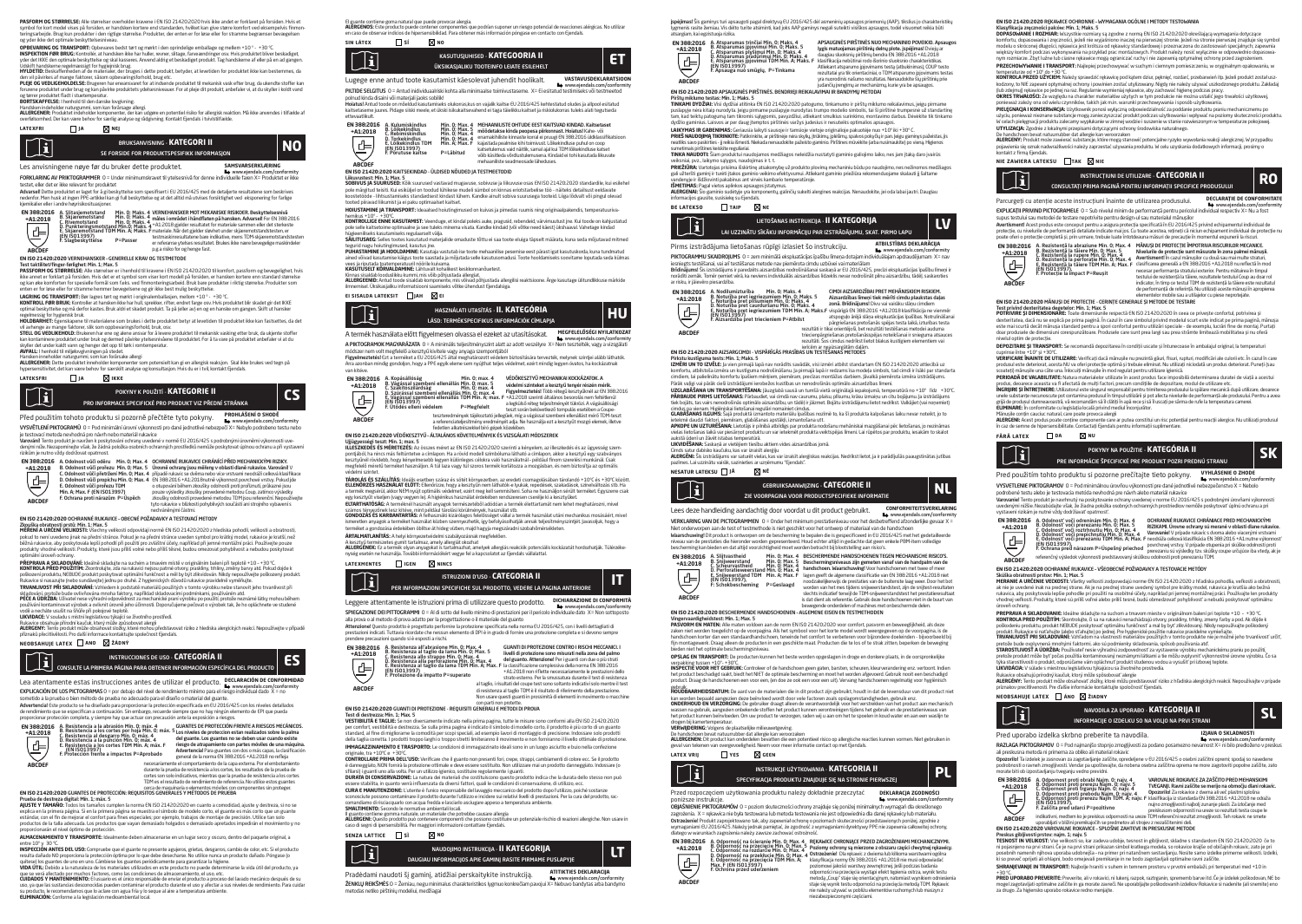**PASFORM OG STBRRELSE**. Alle størreiser overholder kraven e LM ISO 21420:2020 hvis kke andet er torklaret på torsiden. Hvis et<br>symbol for kort model vises på forsiden, er handsken kortere end standarden, hvilket kan give s

**OPBEVARING OG TRANSPORT:** Opbevares bedst tørt og mørkt i den oprindelige emballage og mellem +10 º - +30 ºC. **INSPEKTION FØR BRUG:** Kontroller, at handsken ikke har huller, revner, slitage, farveændringer osv. Hvis produktet bliver beskadiget,<br>yder det IKKE den optimale beskyttelse og skal kasseres. Anvend aldrig et beskadiget pr

Udskift handskerne regelmæssigt for hygiejnisk brug. **HYLDETID:** Beskaffenheden af de materialer, der bruges i dette produkt, betyder, at levetiden for produktet ikke kan bestemmes, da den vil pävirkes at mange taktorer, säsom opbevaringsforhold, brug etc.<br>**PLEJE OG VEDLIGEHOLDELSE:** Brugeren har eneansvaret for at indsende produktet til mekanisk vask efter brug, da ukendte stoffer kan<br>forurene produktet

og tørrer produktet fladt i stuetemperatur.<br>**BORTSKAFFELSE:** I henhold til den danske lovgivning.<br>Handsken indeholder naturgummi, som kan forårsage all<br>ALLERGENER: Produktet indeholder komponenter der

**BORTSKAFFELS**E. I henhold til den danske lovgwinige.<br>**ALLERGENER:** Produktet indebidde komponenter, der kan udgøre en potentiel risiko for allergisk reaktion. Må ikke anvendes i tilfælde af<br>**ALLERGENER:** Produktet indebid

### **latexfri ja nej**

 $\mathbb{T}$ SE FORSIDE FOR PRODUKTSPESIFIKK INFORMASJON BRUKSANVISNING - **KATEGORI II NO**

#### Les anvisningene nøye før du bruker dette produktet. **SAMSVARSERKLÆRING**

ww.ejendals.com/com/a mi<br>In farna Y – Dradishtat ar iki FORKLARING AV PRIKTOGRAMMER 0 = Under minimumskravet til ytelsesnivå for denne indi

testet, eller det er ikke relevant for produktet **Advarsel**l Dette produktet er laget for å gi beskyttelse som spesifisert i EU 2016/425 med de detaljerte resultatene som beskrives<br>nedenfor. Men husk at ingen PPE-artikkel kan gi full beskyttelse og at det alltid må utvis

kjemikalier eller i andre høyrisikosituasjoner. A. Slitasjemotstand Min. 0; Maks. 4 B. Skjæremotstand Min. 0; Maks. 4 C. Rivemotstand Min. 0; Maks. 4 D. Punkteringsmotstand Min.0; Maks. 4 E. Skjæremotstand TDM Min. A; Maks. F (EN ISO13997) F. Slagbeskyttelse P=Passer VERNEHANSKER MOT MEKANISKE RISIKOER. Beskyttelsesnund<br>Thile i området i håndfatten på hansken. Advarsell for CN 3882016<br>+A1:2013 gjelder resultatet for materiale sammen eller det sterkeste<br>materiale Nik det gjelder sløvhet **EN 388:2016 +A1:2018**

**ABCDEF**

#### **EN ISO 21420:2020** VERNEHANSKER – GENERELLE KRAV OG TESTMETODE en 130 z.1420.2020 vennetinnsken - deneneele knyw og testifietidie<br>T**est taktilitet/finger-førlighet: Min. 1; Max. 5**<br>PASSEADM AC STADDELSE-Alla etarralser ar i honhold til krauana i FM ISO 21.420:2020 til komfort, ossefor

PASSFORM OG STØRRELSE: Alle størreiser er i henhold til Kravene i EN 150 21420:2020 til komfort, passtorm og bevegelighet, hvs<br>ikke annet er forklart på forsiden. Hvist det er et symbol som viser kort modell på forsiden, e

**LAGRING OG TRANSPORT:** Bør lagres tørt og mørkt i originalemballasjen, mellom +1.0 ° - +30 °C.<br>**KONTROLL FØR BRUK:** Kontroller at hansken ikke har hull, sprekker, rifter, endret farge osv. Hvis produktet blir skadet gir d

regelmessig for hygienisk bruk.<br>**HOLDBARHET:** Egenskapene til materialene som brukes i dette produktet betyr at levetiden til produktet ikke kan fastsettes, da det vil avhenge av mange faktorer, slik som oppbevaringsforhold, bruk, osv. **STELL OG VEDLIKEHOLD:** Brukeren har ene og alene ansvar for å levere produktet til mekanisk vasking etter bruk, da ukjente stoffer

kan kontaminere produktet under bruk og dermed påvirke ytelsesnivåene til produktet. For å ta vare på produktet anbefaler vi at du skyller det under kaldt vann og henger det opp til tørk i romtemperatur.

**AIVFALL:** Inenhold til miljølovgivningen på stedet.<br>**ALLERGENER:** Dette produktet inneholder komponenter som potensielt kan gi en allergisk reaksjon. Skal ikke brukes ved tegn på<br>**ALLERGENER:** Dette produktet inneholder k

### **lateksfri ja ikke**



## Před použitím tohoto produktu si pozorně přečtěte tyto pokyny. **PROHLÁŠENÍ O SHODĚ**

www.ejendals.com/conformity VYSVĚTLENÍ PIKTOGRAMŮ 0 = Pod minimální úrovní výkonnosti pro dané jednotlivé nebezpečí X= Nebylo podrobeno testu nebo

je testovací metoda nevhodná pro návrh nebo materiál rukavice<br>**Varováni**l Tento produkt je navížen k poskytování ochrany uvedené v normě EU 2016/425 s podrobnými úrovněmi výkonnosti uve-<br>denými níže. Nezapomínejte však, že

| <b>EN 388:2016</b> |                                   | A. Odolnost vůči oděru Min. 0: Max. 4 OCHRANNÉ RUKAVICE CHRÁNÍCÍ PŘED MECHANICKÝMI RIZIKY.                         |
|--------------------|-----------------------------------|--------------------------------------------------------------------------------------------------------------------|
| $+A1:2018$         |                                   | B. Odolnost vůči prořezu Min. 0: Max. 5 Úrovně ochrany isou měřeny v oblasti dlaně rukavice. Varování! V           |
|                    |                                   | C. Odolnost vůči přetržení Min. O: Max. 4 případě rukavic se dvěma nebo více vrstvami neodráží celková klasifikace |
|                    |                                   | D. Odolnost vůči propichu Min. 0: Max. 4 EN 388:2016 +A1:2018nutně výkonnost povrchové vrstvy. Pokud ide           |
|                    | E. Odolnost vůči prořezu TDM      | o otupování během zkoušky odolnosti proti proříznutí, průkazné isou                                                |
| $\bigoplus$        | Min. A: Max. F (EN ISO13997)      | pouze výsledky zkoušky provedené metodou Coup, zatímco výsledky                                                    |
| <b>ABCDEF</b>      | F. Ochrana proti nárazům P=Úspěch | zkoušky odolnosti provedené metodou TDM isou referenční. Nepoužíveite                                              |
|                    |                                   | tyto rukavice v blízkosti pohyblivých součástí ani stroiního vybavení s                                            |
|                    |                                   | .                                                                                                                  |

### nechráněnými částmi. < **EN ISO 21420:2020** OCHRANNÉ RUKAVICE – OBECNÉ POŽADAVKY A TESTOVACÍ METODY

**Zkouška obratnosti prstů: Min. 1; Max. 5**<br>**MĚŘENÍ A URČENÍ VELIKOSTI:** Všechny velikosti odpovídají normě EN ISO 21420:2020 z hlediska pohodlí, velikosti a obratnosti,<br>pokud to není uvedeno jinak na přední stránce. Pokud běžná rukavice, aby poskytovala lepší pohodlí při použití pro zvláštní účely, například při jemné montážní práci. Používejte pouze<br>produkty vhodné velikosti. Produkty, které jsou příliš volné nebo příliš těsné, budou omezo

optimilní úroveň cohrany.<br>MOHTROLA PÁSLA DOJANÁ klasilné skladujte na suchém a travém místě v originálním balení při teplotě +10 - +30 °C<br>MOHTROLA PÁSLA POLIZITÁP: Zostrokuje, obsahují na práchodním elkoho je prakohy, nímk TRNANLIVOST PRI SKLADOVANI: Vzhledem k podstatě materiálů použitých v tomto výrobku nebe stanovit jeho trvanívost při<br>Vsladování, protože bude ovlivňována mnoha faktory, například skladovacími podmínkami, používáním atd.<br>P

vodě a necháte usušit na šňůře při pokojové teplotě.<br>Vodě a necháte usušit na šňůře při pokojové teplotě.<br>LIKVIDACE: V souladu s místní legislativou týkající se životního prostředí.

**LIKVIDACE** V souladu s místní legislativou týkají se životnho prostředí.<br>**ALERGENY**: Tento produkt může obsahovat složby, které mohou představovat riziko z hlediska alergických reakcí.<br>**ALERGENY:** Tento produkt může obsah

#### **neobsahuje latex ano žádný**



Lea atentamente estas instrucciones antes de utilizar el producto. **DECLARACIÓN DE CONFORMIDAD**<br>Www.ejendals.com/conformity EXPLICACIÓN DE LOS PICTOGRAMAS0 = por debajo del nivel de rendimiento mínimo para el riesgo individual dado X = no

sometido a la prueba o bien método de prueba no adecuado para el diseño o material del guante.<br>**Advertencial** Este producto se ha diseñado para proporcionar la protección especificada en EU 2016/425 con los niveles detalla



A. Resistencia a la abrasión Mín. O; máx. 4<br>B. Resistencia a los cortes por hoja Mín. O; máx. 5<br>C. Resistencia al desgarro Mín. O; máx. 4<br>D. Resistencia a la punción Mín. O; máx. 4<br>E. Resistencia a los cortes TDM Mín. A; m máx. **4**<br> **Ann Collection (COMPICS DE PROTECOON FRENTER RIESCOS MECÁNICOS.<br>
HET CONTINUES ARE DESIGNED FOR DESIGNED AND CONTINUES ARE A CHANNICAL AREA (CHANNICAL PRESS)<br>
<b>A** Primax. **F A response the annoyance metric an** 

cerca de maquinaria o elementos móviles con<br>**EN ISO 21420:2020** GUANTES DE PROTECCIÓN: REQUISITOS GENERALES Y MÉTODOS DE PRUEBA

Prueba de destreza digital: Mín. 1; máx. 5 **AJUSTE Y TAMAÑO:** Todos los tamaños cumplen la norma EN ISO 21420:2020 en cuanto a comodidad, ajuste y destreza, si no se explica en la primera página. Si en la primera página se muestra el símbolo de modelo corto, el guante es más corto que un guante<br>estándar, con el fin de mejorar el confort para fines especiales; por ejemplo, trabajos de m proporcionarán el nivel óptimo de protección.

**ALMACENAMIENTO Y TRANSPORTE:** Idealmente deben almacenarse en un lugar seco y oscuro, dentro del paquete original, a

entre 10° y 30 °C.<br>INSPECTION ANTES DEL USO: Compruebe que el guante no presente agujeros, grietas, desgarros, cambio de color, et<br>quite a dariado NO proporciona la profesción óptima por lo que debe desentarse. No utilica uso, ya que las sustancias desconocidas pueden contaminar el producto durante el uso y afectar a sus niveles de rendimiento. Para cuidar su producto, le recomendamos que lo aclare con agua fría y lo seque al aire a temperatura ambiente.<br>**ELIMINACIÓN:** Conforme a la legislación medioambiental local.

**EN 388:2016**  A. Kulumiskindlus Min. 0; Max. 4<br>B. Lõikekindlus Min. 0; Max. 4<br>C. Rebimiskindlus Min. 0; Max. 4<br>E. Lõikekindlus TDM Min. A; Max. F<br>E. Põrutuse kaitse P=Läbitud<br>F. Põrutuse kaitse P=Läbitud **+A1:2018**  $\overline{d}$ 

ettevaatlikult.<br>Ettevaatlikult

Tì

MEHAANILISTE OHTUDE EEST KAITSVAD KINDAD. Katsetaset<br>enämäkikse kinda peopesa piirkonnast. Hoiatusl Kahe- või<br>enämäkhiliste kinnaste korral ei pruugi EN 388:2016 üldkassifikatsioon<br>kaisetadennus vaid näitlik, samal ajal ku võib käsitleda võrdlustulemusena. Kindaid ei tohi kasutada liikuvate me vaariste seadmente se<br>te seadment ade läheduse **ABCDEF**<br>EN 150 21420-2020 KAITSEKINDAD - DI DISCO NÕUDED JA TESTAGETORIO

PILTIDE SELGITUS 0 = Antud inidividuaalriski kohta alla minimaalse toimivustaseme. X= Ei esitatud testimiseks või testmeetod

**sin látex sí no**

**EN ISO 21420:2020 KATISEKINDAD - ULOISEEN NOUDED JA TESTMEETODID**<br>**SOBOVUS JA SUURUSED:** KÕRE SUS KUNDER USERID KOMMER POOLISE III liikuvuse osas EN ISO 21420:2020 standardile, kui esilehe<br>SOBOVUS JA SUURUSED: KÕRE KUNDER

ÜKSIKASJALIKU TOOTEINFO LEIATE ESILEHELT KASUTUSJUHISED - **KATEGOORIA II ET**

www.ejendals.com/conformity

#### teede piirusta liikumat ja di puka optimused kuitade.<br>**HOIUSTAMINE JA TRANSPORT:** Ideaalsed hoiutingimused on kuivas ja nimedas ruumis ning originaalnaki

hemikus +10º - +30ºC. **KONTROLLIGE ENNE KASUTAMIST:** Veenduge, et kindal poleks auke, pragusid, rebendeid, värvimuutust jne. Kui toode on kahjustatud

El guante contiene goma natural que puede provocar alergia.<br>**ALERGENOS:** Este producto puede contener componentes que podrían suponer un riesgo potencial de reacciones alérgicas. No utilizar<br>**en caso de observar** indicios

Lugege enne antud toote kasutamist käesolevat juhendit hoolikalt. **VASTAVUSDEKLARATSIOON**

mee seedmest on vanda marvadaamsi kinda did minimaalse toimivastaseme. An erestatad testimisele või testineeto<br>nud kinda disaini või materjali jaoks sobilik!<br>latud Antud toode on mõeldud kasutamiseks olukorras kus on valal **Hoiatus!** Antud toode on mõeldud kasutamiseks olukorras,kus on vajalik kaitse EU 2016/425 kehtestatud oludes ja allpool esitatud<br>kaitsetaseme juures. Pidage siiski meele, et ükski isikukaitsevahend ei taga täielikku kaits

pole solle katedome optimalne ja see bieks mnema visata. Kandie kndaid (või võtke need kaest) ukshaaval. Vahetage kndad<br>Vageemikeks kosulariiseks regulaarsett välja. Kosulanduste tõttus 4 saa toote ekiga täpselt määrata, k

ained võivad kasutamise käigus toote saastada ja mõjutada selle kasutusomadusi. Toote hooldamiseks soovitame loputada seda külmas vees ja riputada toatemperatuuril nöörile kuivama.

**KASUTUSELT KORVALDAHINE** Lähtuvalt kohalkest keskkonnanöuetest.<br>**AlutaRGERUD: An**tud toode sisalda komponente, mis võhvad põhjustada allergilisi reaktsioone. Ärge kasutage ülfundlikkuse märkide<br>**ALLERGERUD:** Antud toode s

#### **ei sisalda lateksit jah ei**

**ABCDEF**

**ABCDEF**

€



A termék használata előtt figyelmesen olvassa el ezeket az utasításokat. MEGFELELOSEGI NYILATKOZAT<br>A PIKTOGRAMOK MAGYARÁZATA 0 = A minimális teljesítményszint alatt az adott veszélyre X

módszer nem volt megfelelő a kesztyű kivitele vagy anyaga szempontjából

**Figyelmeztetés!** Ezt a terméket a EU 2016/425 altal meghatározott védelem biztosítására tervezték, melynek szintjei alább láthatók.<br>Arra azonban mindig gondoljon, hogy a PPE egyik eleme sem nyújthat teljes védelmet, ezért

vankireve.<br>
EN 388-2016 A Kopásállóság<br>
- 181-2018 B. Szákítászláróság ellenállás Min. Órmasz, 4<br>
- 181-2018 B. Szákítászláróság ellenállás Min. Órmasz, 4<br>
- El vágással szembeni ellenállás Min. Órmasz, 4<br>
- El vágással sz **EN 388:2016 +A1:2018**



**EN ISO 21420:2020** VÉDŐKESZTYŰ – ÁLTALÁNOS KÖVETELMÉNYEK ÉS VIZSGÁLATI MÓDSZEREK

**Ujjügyességi teszt: Min. 1; max. 5**<br>**ILLESZKEDÉS ÉS MÉRETEZÉS:** Az összes méret az EN ISO 21420:2020 szerinti a kényelem, az illeszkedés és az ügyesség szempontjából, ha nincs más feltüntetve a címlapon. Ha a rövid modell szimbóluma látható a címlapon, akkor a kesztyű egy szabványos kesztyűnél rövidebb, hogy kényelmesebb legyen különleges célokra való használatnál - például finom szerelési munkánál. Csak<br>megfelelő méretű terméket használjon. A túl laza vagy túl szoros termék korlátozza a mozgásban, és

vedelmi színtet.<br>Tábol ás és száll ítási klajlit erethen színz ér rétét kömunatben, az eredeti cremandárában tárolandó 41.000 és 43000 közöt. **TAROUAS ES SZALUTAS: Isolais estelen zarace s sotet kompezeten, az eredet csomagotasban tanúanó a "UTC között<br>ELLENDRZÉS HASZNÁLAT ELŐTT: Ellendrize, hogy a kesztyűn nem láthatók-e lyulak, repedések, szaladások, szinévált** 

Számos tényezőnek lesz kitéve, mint például tárolási körülmények, használat stb.<br>**GONDOZÁS ÉS KARRANTARTÁS:** A felhasználó kizárólagos felelősséget vállal a termék használat utáni mechanikus mosásáért, mivel

ismeretlen anyagok a terméket használat közben szennyezhetik, így befolyásolhatják annak teljesítményszintjét. Javasoljuk, hogy a<br>terméket a gondozása érdekében öblítse át hideg vízben, majd hagyja megszáradni szobahőmérsé

**ARTALMATLANTAS:** A helyi környezetvédelmi szabályozásnak megfelelően.<br>**A Lesztiçli temészetes gumit tartalmaz, amely allergiát okozhat**<br>**ALLERGÉNEK:** Ez a temék olyan anyagokat is tartalmazhat, amelyek allergiás reakciók



Leggere attentamente le istruzioni prima di utilizzare questo prodotto. Il premierazione di conferentri struct<br>SPIECAZIONE DE PITTOGRAMM I o = A idi sotto del livello mimo di prestizioni per il pericolo individuale dato X=

Attenzione! Questo prodotto è progettato perfornire la protezione specificata nella norma EU 2016/425, con i livelli dettagliati di prestazioni indicati prodotto e progettavo personne a processore specificata richo nomia eo essevives, com inceni detagado al<br>prestazioni indicati. Tuttavia ricordate che nessun elemento di DPI è in grado di fornire una pr

prendere precauzioni quando si è esposita<br> **EN 388-2016** A Resistenza al Tabrasione Min. O: Max. 4<br> **CALCO SIGNATIVAL EN 1899 A RESISTENZA A DEL PRESENTA DE LA CALCO DE LA CALCO DE LA CALCO DE LA CALCO DE LA CALCO DE LA C** GUANTI DI PROTEZIONE CONTRO I RISCHI MECCANICI. I<br>livelli di protezione sono misurati nella zona del palmo<br>del guanto. Attenzionel Per i guanti con due o più strati<br>la classificazione complessiva della norma EN 3882016<br>+A1 **EN 388:2016 +A1:2018**



### con parti non protette. **EN ISO 21420:2020** GUANTI DI PROTEZIONE - REQUISITI GENERALI E METODI DI PROVA

Test di destrezza: Min. 1; Max. 5 **VESTIBILITÀ E TAGLIE:** Se non diversamente indicato nella prima pagina, tutte le misure sono conformi alla EN ISO 21420:2020

per comfort, vestibilità e destrezza. Se sulla prima pagina è indicato il simbolo di modello corto, il prodotto è più corto di un guanto<br>standard, al fine di migliorarne la comodità per scopi speciali, ad esempio lavori di **IMMAGAZZINAMENTO E TRASPORTO:** Le condizioni di immagazzinato ideali sono in un luogo asciutto e buio nella confezione

vilgilale, tid \* 10°C.<br>CONTROLLADE DRIMA DELL'USO: Verificare che il quanto non presenti fori crene, stranni cambiamenti di colore ecc. Se il prodotto CONTROLLARE PRINA DELL'USO: Verificae che li gasmo non presenti trici crege, strazioni cambiamenti di colore ecc Se il prodotto.<br>ediamegorita NON formia la protezione ottimale e deve essere sostituita Non utilizzare mai un

sconosciace possono contaminare ir prodocto durante rutinzzo e incluere surrelativi nveni di prestazili<br>comandiamo di risciacquarlo con acqua fredda e lasciarlo asciugare appeso a temperatura ambiente.<br>CMALTIMENTO: Secondo

**SMALTIMENTO:** Secondo le normative ambiental locali.<br>**Il guanto contiene gomma** naturale, un materiale che potrebbe causare allergia<br>**ALLERGEN**I: Questo prodotto può contenere componenti che possono costituire un potenzia

**senza lattice sì no**



Pradėdami naudoti šį gaminį, atidžiai perskaitykite instrukciją. **ATITIKTIES DEKLARACIJA** www.ejendals.com/conformity ŽENKLŲ REIKŠMĖSO = Žemiau, negu minimalus charakteristikos lygmuo konkrečiam pavojui X= Nebuvo bandytas arba bandymo metodas netiko pirštinių modeliui, medžiagai

įspėjimas! Šis gaminys turi apsaugoti pagal direktyvą EU 2016/425 dėl asmeninių apsaugos priemonių (AAP), tikslius jo charakteristikų ppejimas sis gaminys turi apsaugoti pagai urektyvą cu zuzomezs uei asmeninių apsaugos pnemonių (AAP), uksius jo triaraktei<br>Vigmenis rasitė žemiau. Vis dėlto turite atsiminti, kad joks AAP gaminys negali suteikti visiškos a

APSAUGINĖS PIRŠTINĖS NUO MECHANINIO POVEIKIO. Apsaugos lygis matuojamas pirštinių delnų plote. įspėjimas! Dviejų ar daugiau sluoksnių pirštinių bendra EN 388:2016 +A1:2018

**EN 100 21420:2000 REARWINE CO-HRONNE- WYPHALAMIA OLOURE! IRETOXY TESTUANIAMI**<br>**REARFORM AND REARFORM CONTROL IN THE STATE SYSTEM IS CONTROL TO THE STATE OF THE STATE SYSTEM IN A STATE SYSTE<br>DOPPORTANT IN THE STATE OF THE PRZECHOWYWANIE I TRANSPORT:** Najlepiej przechowywać w suchym i ciemnym pomieszczeniu, w oryginalnym opakowaniu, w temperaturze od +10º do +30 ºC. **KONTROLA PRZED UŻYCIEM:** Należy sprawdzić rękawicę pod kątem dziur, pęknięć, rozdarć, przebarwień itp. Jeżeli produkt został uszkodzony, to NIE zapewni optymalnej ochrony i powinien zostać utylizowany. Nigdy nie należy używać uszkodzonego produktu. Zakładaj<br>(lub zdejmuj) rękawice po jednej na raz. Regularnie wymieniaj rękawice, aby zachować higienę **OKRES TRWAŁOŚCI:** Ze względu na charakter materiałów użytych w tym produkcie nie można ustalić jego trwałości użytkowej, ponieważ zależy ona od wielu czynników, takich jak m.in. warunki przechowywania i sposób użytkowania.

**PIELĘGNACJA I KONSERWACJA:** Uzytkownik ponosi wyłączną odpowiedzialność za poddanie produktu praniu mechanicznemu po<br>użyciu, ponieważ nieznane substancje mogą zanieczyszczeć produkt podczas użytkowania i wpływać na poziom **UTYLIZACJA:** Zgodnie z lokainymi przepisami dotyczącymi ochrony środowiska naturalnego.<br>De handschoen bevat natuurrubber dat allergie kan veroorzaken<br>**ALERGENY:** Produkt może zawierać substancje, które mogą stanowić poten pojawienia się oznak nadwrażliwości należy zaprzestać używania produktu. W celu uzyskania dodatkowych informacji, prosimy o kontakt z firmą Ejendals.

Parcurgeți cu atenție aceste instrucțiuni înainte de utilizarea produsului. **DECLARAȚIE DE CONFORMITATE**<br>
■ www.ejendals.com/conformity EXPLUCAJI PRINTAND PRLTOCARPIELE. U = Sub nuelui minim de performanța pentru pencolui individual respectiv X= Nu a 10st<br>Supus testului sau metodei de testare nepotrivite pentru design-ul sau materialul mănușilor<br>Aventismen

point of the protection of the matter between the model and matter of the momentul exponent of the CM-<br>
ERI2018 A Resistents in a brazing H m, D, H ax. 4 MANUS DE PROTECTE PHOTORIA RISCURSION BECANN<br>
The MAL2018 B and the

**EN ISO 21420:2020 MÅNUS) DE PROTECTIE - CERINȚE CENERALES INETODO DE TESTARE<br>TEMPINING ROMENTIALS (PROPORTIVAL DE L'ARAS, SI CIPOSTATI PROTOCO DE TESTARE<br>POTRINIRES plus els proportivals de proportivals (PROPORTIS) (SI 22** 

nivelul optim de protecție.<br>**DEPOZITARE ȘI TRANSPORT:** Se recomandă depozitarea în condiții uscate și întunecoase în ambalajul original, la temperaturi cuprinse între +10º şi +30ºC. **VERIFICARE ÎNAINTE DE UTILIZARE:** Verificați dacă mănușile nu prezintă găuri, fisuri, rupturi, modificări ale culorii etc. În cazul în care produsul este deteriorat, aceta NU va oferi protecije optimă și trebule eliminat Nu utilizați niciodată un produs deteriorat. Puneți (sau<br>PERIOADĂ DE VALABILITATE: Natural materialeor utilizate în pact protonul face imposi **INGRIJIRE ȘI INTREȚINERE:** Utilizatorul este singurul responsabil pentru trimiterea produsului la spălare mecanică după utilizare, deoarece<br>unele substanțe necunoscute pot contamina produsul în timpul utilizării și pot af grijă de produsul dumneavoastră, vă recomandăm să îl clătiți în apă rece și să îl uscați pe sârma de rufe la temperatura camerei.<br>El IMINARE: În conformitate cu leeislația locală privind mediul înconjurător. **ELIMINARE:** In contormitate cu legislația locală privind mediul înconjurător.<br>Mănușile conțin caucluc natural, care poate provoca alergii<br>**ALERGENI:** Acest produs poate conține componente care ar putea constitui un risc p

Pred použitím tohto produktu si pozorne prečítajte tieto pokyny. **VYHLASENIE O ZHODE**<br>
www.ejendals.com/conformity . **VYSVETLENIE PIKTOGRAMOV**. O = Pod minimálnou úrovňou výkonnosti pre dané jednotlivé nebezpečenstvo X = Nebolo<br>podrobené testu alebo je testovacia metóda nevhodná pre návrh alebo materiál rukavice<br>Varovaniel Tento produk uvedenými nižšie. Nezabúdajte však, že žiadna položka osobných ochranných prostriedkov nemôže poskytovať úplnú ochranu a pri

Skúška obratnosti prstov: Min. 1; Max. 5<br>MERANJE A LIRČENJE VEĽKOSTI: Všotky veľkosti zodpovedajú porme EN ISO 21420:2020 z bľadiska pobodila veľkosti a obratnosti. **MERANIE A URCENIE VEĽKOSTI:** Všestv<sub>i</sub> veľkosti zodpovedajú norme CN ISO 21420:2020 z hladisla pohodila, veľkosti<br>ak nie je uvedené inak na prednej strane. Ak je na prednej strane uvedený symbol pre kráťky model, rukavica úroveň ochrany. **PREPRAVA A SKLADOVANIE:** Ideálne skladujte na suchom a tmavom mieste v originálnom balení pri teplote +10 – +30 ºC. **KONTROLA PRED POUZITIM:** Skontrolujte, či sa na rukavici nenachádzajú otvory, praskliny, trhliny, zmeny farby a pod. Ak dôjde k<br>poškodeniu produktu, produkt NEBUDE poskytovať optimálnu funkčnosť a mal by byť zlikvidovaný. produkt. Rukavice si natahujte (alebo stahujte) po jednej. Pre hygienické použitie rukavice pravidelne vymieňajte.<br>**TRVANLIVOSŤ PRI SKLADOVANÍ:** Vzhľadom na vlastnosti materiálov použitých v tomto produkte nie je možné jeh **STAROSTLIVOSŤ A ÚDRŽBA:** Používateľ nesie výhradnú zodpovednosť za vystavenie výrobku mechanickému praniu po použití,<br>pretože produkt môže byť počas použitia kontaminovaný neznámymi látkami a tie môžu ovplyvniť výkonnostn L**IKVIDACIA**: V slálade smiestnou legislativo týkajúcou sa životného prostredia.<br>**ALIERGÉWY**: Tento produkt můžio koský môže spôsobovať alergie<br>**ALERGÉWY**: Tento produkt můžio koskovat zložky, ktoré môžu predstavovať rizik

Pred uporabo izdelka skrbno preberite ta navodila. **IZJAVA O SKLADNOSTI** Piktora ponabov Edenka primov predleme, kaj navodina.<br>RAZLAGA PIKTOGRAMOV 0 = Pod najmanjšo stopnjo zmogljivosti za podano posamezno nevarnost X= ni bilo predloženo v preskus ali preskusna metoda ni primerna za obliko ali material rokavic Opozorilo! Ta izdelek je zasnovan za zagotavljanje zaščite, opredeljene v EU 2016/425 o оsebni zaščitni opremi; spodaj so navedene podrobnosti o ravneh zmogljivosti. Vendar pa upoštevajte, da nobena osebna zaščitna oprema ne more zagotoviti popolne zaščite, zato<br>morate biti ob izpostavljanju tveganju vedno previdni.

in Zaščita pred udarci P=pozitivno "preiskusom odpornosti na ureze so rezultati testa coupe le<br>indikativni, medtem ko je preiskus odpornosti na ureze TDM referenčni rezultat zmogljivosti. Teh rokavic ne smete

Preskus gibljivosti prstov: najm. 1; najv. 5<br>TESNOST IN VELIKOST: Vse velikosti so, kar zadeva udobje, tesnost in gibljivost, skladne s standardom EN ISO 21420:2020 če to ni pojasnjeno na prvi strani. Če je na prvi strani prikazan simbol kratkega modela, so rokavice krajše od običajnih rokavic, zato je pri<br>posebnih namenih njihova uporaba udobnejša - na primer pri natančnem sestavljanju. No **SHRANJEVANJE IN TRANSPORT:** Najbolje hraniti v suhem in temnem prostoru v prvotni embalaži, pri temperaturi med +10 in +30 °C.<br>**PRED UPORABO PREVERITE:** Preverite, ali v rokavici, ni lukenj, razpok, raztrganin, sprememb barve itd. Če je izdelek poškodovan, NE bo<br>**mogel zagotavljati optimalne zaščite in ga morate zavreči. Ne uporabljajte po** 

A. Odpornost proti obrabi Najm. O; najv. 4<br>B. Odpornost proti prerezu Najm. O; najv. 5<br>C. Odpornost proti trganju Najm. O; najv. 4<br>D. Odpornost proti prebodu Najm. O; najv. 4<br>E. Odpornost proti prerezu Najm TDM. A; najv. F

**EN ISO 21420:2020** VAROVALNE ROKAVICE – SPLOŠNE ZAHTEVE IN PRESKUSNE METODE

uporabljati v bližini premikajočih se predmetov ali strojev z nezaščitenimi deli.

în caz de semne de hipersensibilitate. Contactați Ejendals pentru informații suplimentare

A. Odolnosť voči odreninám Min. 0; Max. 4<br>B. Odolnosť voči prerezaniu Min. 0; Max. 5<br>C. Odolnosť voči prepichnutiu Min. 0; Max. 4<br>B. Odolnosť voči prepicaniu TDM Min. A; Max. F<br>E. Odolnosť voči prerezaniu TDM Min. A; Max.

**EN ISO 21420:2020** OCHRANNÉ RUKAVICE – VŠEOBECNÉ POŽIADAVKY A TESTOVACIE METÓDY

**fără latex da nu**

vystavení rizikám je nutné vždy dodržiavať opatrnosť.

**neobsahuje latex áno žiadny**

za drugo. Za higiensko uporabo rokavice redno menjajte.

**ABCDEF**

(中)

 $\mathbf{u}$ 

**EN 388:2016 +A1:2018**

 $\widetilde{\mathbf{h}}$ 

**ABCDEF**

**CONSULTATI PRIMA PAGINĂ PENTRU INFORMAȚII SPECIFICE PRODUSULUI RO**<br>Instructați prima pagină pentru informații specifice produsului

POKYNY NA POUŽITIE - **KATEGÓRIA II III SK**<br>PRE INFORMÁCIE ŠPECIFICKÉ PRE PRODUKT POZRI PREDNÚ STRANU

. E. Odolnosť voči preřezaniu TDM Min. A; Max, F neodráza celková klastikaca EN 3813:2015 + AI:nutne výkonnost<br>(EN 150131997)<br>referencija pred nárazom P=Úspešný priechod – prevzaniu sú výsledky tzv. skúšky oupe určujúce ba OCHRANNÉ RUKAVICE CHRÁNIACE PRED MECHANICKÝMI RIZIKAMI. Úrovne ochrany sú merané v oblasti dlane rukavice. Varovanie! V prípade rukavíc s dvoma alebo viacerými vrstvami **EN 388:2016 +A1:2018**

NAVODILA ZA UPORABO - **KATEGORIJA II III III III III III III III** III<br>INFORMACIJE O IZDELKU SO NA VOLJO NA PRVI STRANI

VAROVALNE ROKAVICE ZA ZAŠČITO PRED MEHANSKIMI<br>TVEGANJI. Ravni zaščite se merijo na območju dlani rokavic.<br>Opozorilo! Za rokavice z dvema ali več plastmi splošna<br>klasifikacija iz standarda EN 368:2016 +A1:2018 ne odraža<br>ruj

MANUS) DE PRODECIJE IMPOTRINA RISCURILOR MECANICE.<br>Alvertismenti În cazul mănustrii acumento al proprietate în anno palmei mănusții.<br>Alvertismenti În cazul mănusțiar cu două suu mai multe straturi,<br>dasfficarea generală a E

**nie zawiera lateksu tak nie**

**EN 388:2016 +A1:2018**

<u>li</u>

**ABCDEF**

 $w$ www.ejendals.com/co

i<br>1485 – CIMDI Al2SARDZBAI PRETMEHANISKISM RISKICH,<br>1485 – Alzsardzības līmeņi tiek mērīti cimdu plaukstas daļas<br>26. a. 2003. Brīdinājums Divu vai vairāku slāņu cimdiem<br>26. A. Vestarijas BM 3892.016 +A1.2018 Masifikācija m triecienpārgriešanas pretošanāsspējas noteikšanai ir snieguma atsauces rezultāti. Šos cimdus nedrīkst lietot blakus kustīgiem elementiem vai



klasifikacija nebūtinai rodo išorinio sluoksnio charakteristikas. Atliekant atsparumo įpjovimams testą (atbukinimas), COUP testo rezultatai yra tik orientaciniai, o TDM atsparumo įpjovimams testas yra nuorodinis našumo rezultatas. Nenaudokite šių pirštinių prie<br>judančių įrengimų ar mechanizmų, kurie yra be apsaugos.<br>**EN ISO 21420:2020 APSAUGINĖS PIRŠTINĖS. BENDRIEJI REIKALAVIMAI IR BANDYMŲ METODAI** 

Pi**rkij mislimo testa: Min. 1. Maks.**<br>T**rakom prožila**k visi dydzia attitika ON 60 21420-2020 pategorio, tio americký indikama od kladymus, jejso pimame<br>Izm**kola prožila**k visi dydzia attitika palygomis, pavydžiu, attiekom

A. Nodilumizturiba<br>B. Noturiba pret iegriezumiem Min. 0; Maks. 5<br>C. Noturiba pret plisumiem Min. 0; Maks. 4<br>D. Noturiba pret caurduršanu Min. 0; Maks. 4<br>E. Noturiba pret iegriezumiem TDM Min. A; Maks. F<br>(EN ISO13997)<br>F. Al

ierīcēm ar neaizsargātām daļām. **EN ISO 21420:2020** AIZSARGCIMDI - VISPĀRĪGĀS PRASĪBAS UN TESTĒŠANAS METODES

aukstā ūdenī un žāvēt istabas temperatūrā.<br>**LIKVIDĒŠANA:** Saskaņā ar vietējiem tiesību aktiem vides aizsardzības jomā.

A. Slijtvastheid Min. 0; Max. 4<br>B. Snijweerstand Min. 0; Max. 4<br>C. Scheurvastheid Min. 0; Max. 4<br>D. Perforatieweerstand Min. 0; Max. 4<br>E. Schokbescheming P=Geslaagd<br>F: Schokbescheming P=Geslaagd

De handschoen bevat natuurrubber dat allergie kan veroorzaken

diatego w warunkarh zagrożenia należy zawsze zachować ostrożność.<br> **EN 38622016 A. Odporność na przecięcie Min. 0. Max. 4 REK:**<br>
+ **A1.2018** B. Odporność na przecięcie Min. 0. Max. 5 Pozi<br>
- A. 2018 B. Odporność na przecię

**latex vrij yes geen**

pazīmes. Lai uzzinātu vairāk, sazinieties ar uzņēmumu "Ejendals". **nesatur lateksu jā nē**

**LAIKYMAS IR GABENIMAS:** Geriausia laikyti sausoje ir tamsioje vietoje originalioje pakuotėje nuo +10º iki +30º C.

Pirms izstrādājuma lietošanas rūpīgi izlasiet šo instrukciju. **ATBILSTĪBAS DEKLARĀCIJA**

PIKTOGRAMMU SKAIDROJUMS 0 = zem minimālā ekspluatācijas īpašību līmeņa dotajam individuālajam apdraudējumam X= na<br>iesniegšs testēšānai, vai arī testēšanas metode nav piemērota cindu uzbūvei vai materiālam<br>Brīdinālumel Šis iesniegts testēšanai, vai arī testēšanas metode nav piemērota cimdu uzbūvei vai materiālam<br>**Brīdinājumsi** Šis izstrādājums ir paredzēts aizsardzības nodrošināšanais saskapā ar U 2016.425, precīzi eksplualī<br>norādīt zemāk. T

P**irkstu kustīguma tests: Min. 1; Maks. 5**<br>**IZMĒRI UN TO IZVĒLE: J**a vien pirmajā lapā nav norādīts savādāk, visi izmēri atbilst standartam EN ISO 21.420:2020 attiecībā uz komfortu, atbilstoša izmēra un kustīguma nodrošināšanu. Ja pirmajā lapā ir redzams Isa modeļa simbols, tad cimdi ir Isāki par standarta<br>cimdiem, lai palielinātu komfortu īpašiem mērķiem, piemēram, precīzas montāžas darbiem Pärkkvaljel va pärkki deli kartadijami ieroekos kustikas un nenodrolimi pärkopikai asardibas liineni.<br>**1920. ABÄSANA UN TRANSPORTEŠANA:** Bazglabā saustum tumis vielti originilajā iepalojumā, temperatūrā no +10° lidz<br>**1980.** ietekmē daudzi faktori, piemēram, glabāšanas apstākļi, izmantošana utt.<br>**APKOPE UN UZTURĒŠANA:** Lietotājs ir pilnībā atbildīgs par produkta nodošanu mehāniskai mazgāšanai pēc lietošanas, jo nezināmas<br>vielas lietošanas laik

**LIKVIDESANA:** Saskaņā ar vietējiem tiesību aktiem vides aizsardzības jomā.<br>Cimds satur dabisko kaučuku, kas var izraisīt alerģiju<br>**ALERGĒN**E Šis izstrādājums var saturēt vielas, kas var izraisīt alerģiskas reakcijas. Nedr

ZIE VOORPAGINA VOOR PRODUCTSPECIFIEKE INFORMATIE

Lees deze handleiding aandachtig door voordat u dit product gebruikt. **CONFORMITEITSVERKLARING** www.ejendals.com/conformity VERKLARING VAN DE PICTOGRAMMEN 0 = Onder het minimum prestatieniveau voor het desbetreffend afzonderlijke gevaar X = Niet onderworpen aan de test of testmethode is niet geschild voor het ontwerp of materiaal van de handschoen<br>Waarschuwing Dit product is ontworpen om de bescherming te bepalen die is gespecificeed in EU 2016/425 met het ge

bewegende onderdelen of machines met onbeschermde delen.<br>**EN ISO 21420:2020** BESCHERMENDE HANDSCHOENEN - ALGEMENE EISEN EN TESTMETHODEN

V**ingervaardigheidstest: Min. 1. Max. 5**<br>zaken niet worden toegelicht op de voorpagina. Als het symbool voor het korten nodel wordt weregegeven op de voorpagina, is deze<br>zaken niet worden toegelicht op de voorpagina. Als h **OPSLAG EN TRANSPORT:** De producten kunnen het beste worden opgeslagen in droge en donkere plaats, in de oorspronkelijke verpakking tussen +10°- +30°C. **INSPECTIE VOOR HET GEBRUIK:** Controleer of de handschoen geen gaten, barsten, scheuren, kleurverandering enz. vertoont. Indien het product beschadigd raakt, biedt het NIET de optimale bescherming en moet het worden afgevoerd. Gebruik nooit een beschadigd<br>product. Draag de handschoenen een voor een, (en doe ze ook een voor een uit). Vervang handsch gebruik. **HOUDBAARHEIDSDATUM:** De aard van de materialen die in dit product zijn gebruikt, houdt in dat de levensduur van dit product niet kan worden bepaald aangezien deze beïnvloed wordt door vele factoren zoals opslagomstandigheden, gebruik enz.<br>**ONDERHOUD EN VERZORGING:** De gebruiker draagt alleen de verantwoordelijk voor het verstrekken van het product a igezien ondekende storien het product kunnen verontiemigen tijdens het gedruik en de prestadenreads van<br>hvloeden. Om uw product te verzorgen, raden wij u aan om het te spoelen in koud water en aan een waslijn te drogen bij kamertemperatuur. **VERWIJDERING:** Volgens de plaatselijke milieuwetgeving. '

**ALLERGENEN:** Dit product kan onderdelen bevatten die een potentieel risico op allergische reacties kunnen vormen. Niet gebruiken in<br>geval van tekenen van overgevoeligheid. Neem voor meer informatie contact op met Ejendals

SPECYFIKACIA PRODUKTU ZNAIDUJE SIE NA STRONIE PIERWSZEJ

Przed rozpoczęciem użytkowania produktu należy dokładnie przeczytać **pekLARACJA zgodnośc** poniższe instrukcje. www.ejendals.com/conformity OBJAŚNIENIE PIKTOGRAMÓW0 = poziom skuteczności ochrony znajduje się poniżej minimalnych wymagań dla określonego zagrożenia. X = rękawica nie była testowana lub metoda testowania nie jest odpowiednia dla danej rękawicy lub materiału.<br>Ostrzeżeniel Produkt zaprojektowano tak, aby zapewniał ochronę o poziomach skuteczności przedstawiony wymaganiami EU 2016/425. Należy jednak pawieru z pozornac powornach skuteczność przeustawonych ponieg, z<br>wymaganiami EU 2016/425. Należy jednak pamiętać, że zgodność z wymaganiami dyrektywy PPE nie zapewnia całkowi<br>distoro

INSTRUKCJE UŻYTKOWANIA - **KATEGORIA II PL**

niezabezpieczonymi częściami.

REKANICE CHRONIACE PRZED ZAGROŻENIAMI MECHANICZNYMI.<br>Poziomy ochrony są mierzone z obszaru części chwytnej rękawicy.<br>Ostrzeżenie! Dla rękawic z dwiema lub kilkoma warstwami ogólna<br>klasyfikacja normy EN 3882016 + A1:2018 ni odporności na przecięcia wystąpi efekt tępienia ostrza, wynik testu metodą "Coup" staje się orientacyjnym, natomiast wyniki staje się wynik testu odporności na przecięcia metodą TDM. Rękawic nie należy używać w pobliżu elementów ruchomych lub maszyn z

GEBRUIKSAANWIJZING - **CATEGORIE II NL**

 $\begin{tabular}{p{0.875\textwidth}}} \textbf{BES} \textbf{OER} \textbf{NRO} \textbf{SCG} \textbf{HOR} \textbf{RCG} \textbf{NPG} \textbf{PCG} \textbf{NRO} \textbf{NCG} \textbf{NCG} \textbf{NCG} \textbf{NCG} \textbf{NCG} \textbf{NCG} \textbf{NCG} \textbf{NCG} \textbf{NCG} \textbf{NCG} \textbf{NCG} \textbf{NCG} \textbf{NCG} \textbf{NCG} \textbf{NCG} \textbf{NCG} \textbf{NCG} \textbf{NCG} \textbf{NCG} \textbf{NCG$ 

**PRIES NAUDOJIMĄ TIKRINKITE**: Patkrinkite, ar pistinėje nėra skylių, įtrūkimų, įplėsimų, spalvos pokyčių ir pan. Jeigu gaminys pažeistas, jis<br>neatliks savo paskrities - įjirekia išmesti. Niekada nenaudokite pažeisto gamini

sumeumas prisunes keiskilė legulanai.<br>**TINKA NAUDOTI:** Šiam produktui naudojamos medžiagos neleidžia nustatyti gaminio galiojimo laiko, nes jam įtaką daro įvairūs<br>veiksniai. nvz. laikymo salvens. naudojimas ir t. t. veksniai, pvz., alkymo sajygos, naudojimas ir. t.<br>p**RIEŽIŪRA**: Vartotojas prislima išskirtinę atsakomybę už produkto plovimą mechaniniu būdu po naudojimo, nes nežinomos medžiagos<br>gail užtešti gaminį ir turėti įtakos gamini

LAI UZZINĀTU SĪKĀKU INFORMĀCIJU PAR IZSTRĀDĀJUMU, SKAT. PIRMO LAPU LIETOŠANAS INSTRUKCIJA - **II KATEGORIJA LV**

**ISMETIMAS:** Pagal vietos aplinkos apsaugos įstatymus.<br>**ALERGENAI:** Šio gaminio sudėtyje yra komponentų, galinčių sukelti alergines reakcijas. Nenaudokite, jei oda labai jautri. Daugiau **be latekso taip ne**

informacijos gausite, susisiekę su Eje

ar risku, ir jāievēro piesardzība.

H

**EN 388:2016 +A1:2018**

**ABCDEF**

**EN 388:2016 +A1:2018**

 $\mathbb{T}$ 

**ABCDEF**

**EN 388:2016 +A1:2018**

 $\mathbf{H}$ 

**ABCDEF**

甹